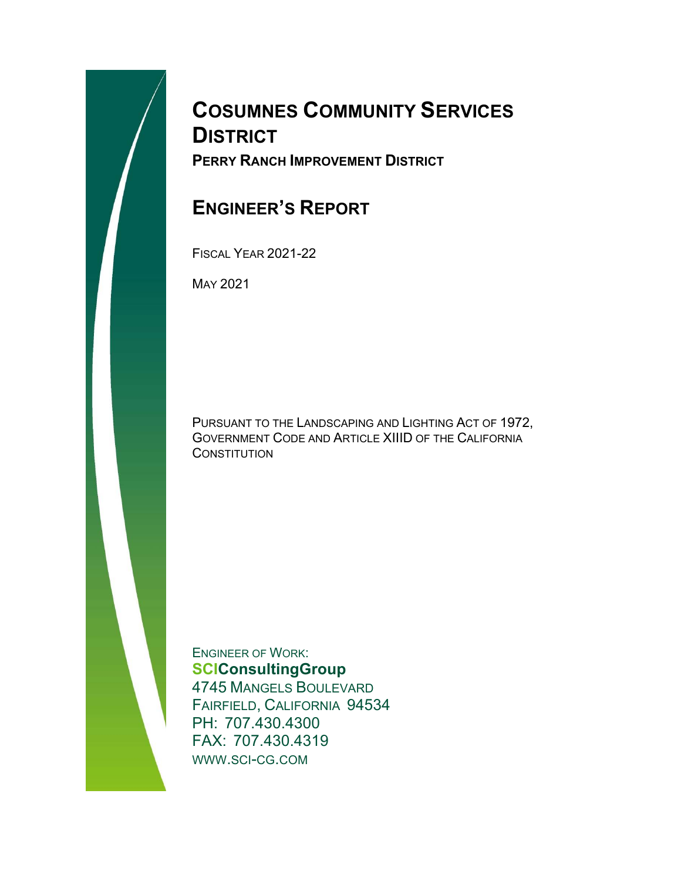# **COSUMNES COMMUNITY SERVICES DISTRICT PERRY RANCH IMPROVEMENT DISTRICT**

# **ENGINEER'S REPORT**

FISCAL YEAR 2021-22

MAY 2021

PURSUANT TO THE LANDSCAPING AND LIGHTING ACT OF 1972, GOVERNMENT CODE AND ARTICLE XIIID OF THE CALIFORNIA **CONSTITUTION** 

ENGINEER OF WORK: **SCIConsultingGroup**  4745 MANGELS BOULEVARD FAIRFIELD, CALIFORNIA 94534 PH: 707.430.4300 FAX: 707.430.4319 WWW.SCI-CG.COM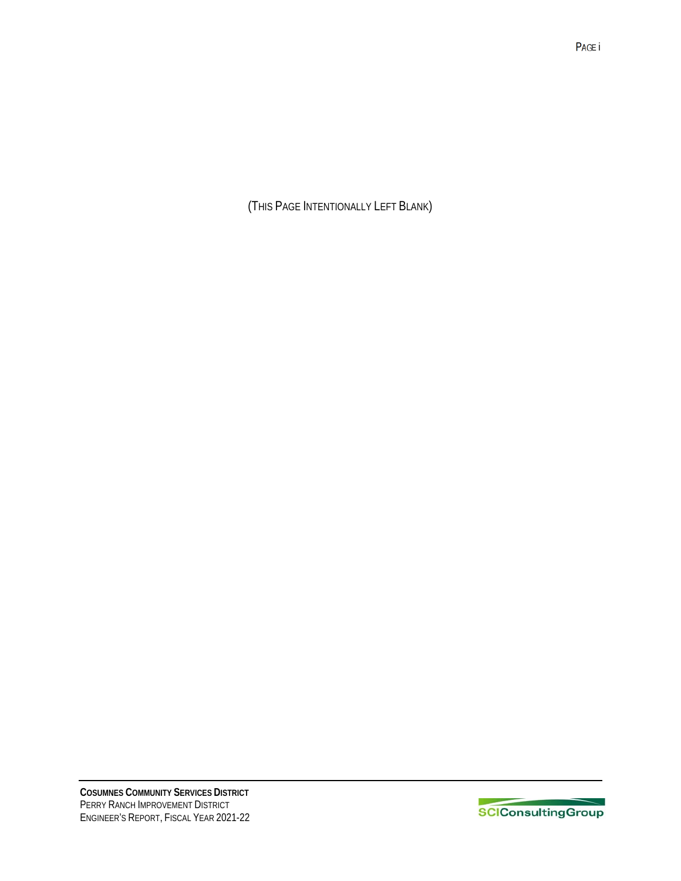(THIS PAGE INTENTIONALLY LEFT BLANK)

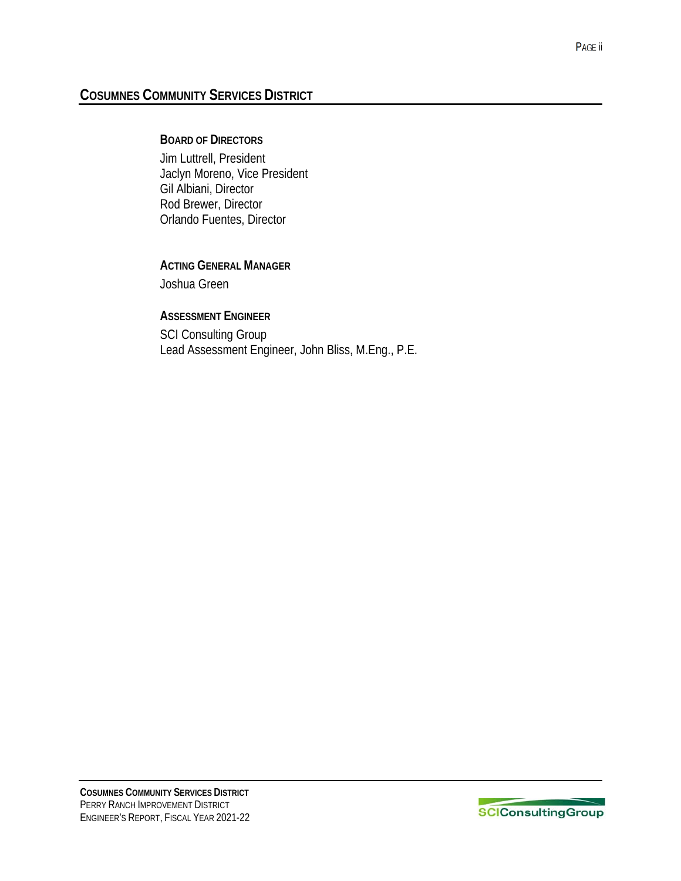# **COSUMNES COMMUNITY SERVICES DISTRICT**

#### **BOARD OF DIRECTORS**

Jim Luttrell, President Jaclyn Moreno, Vice President Gil Albiani, Director Rod Brewer, Director Orlando Fuentes, Director

#### **ACTING GENERAL MANAGER** Joshua Green

#### **ASSESSMENT ENGINEER**

SCI Consulting Group Lead Assessment Engineer, John Bliss, M.Eng., P.E.

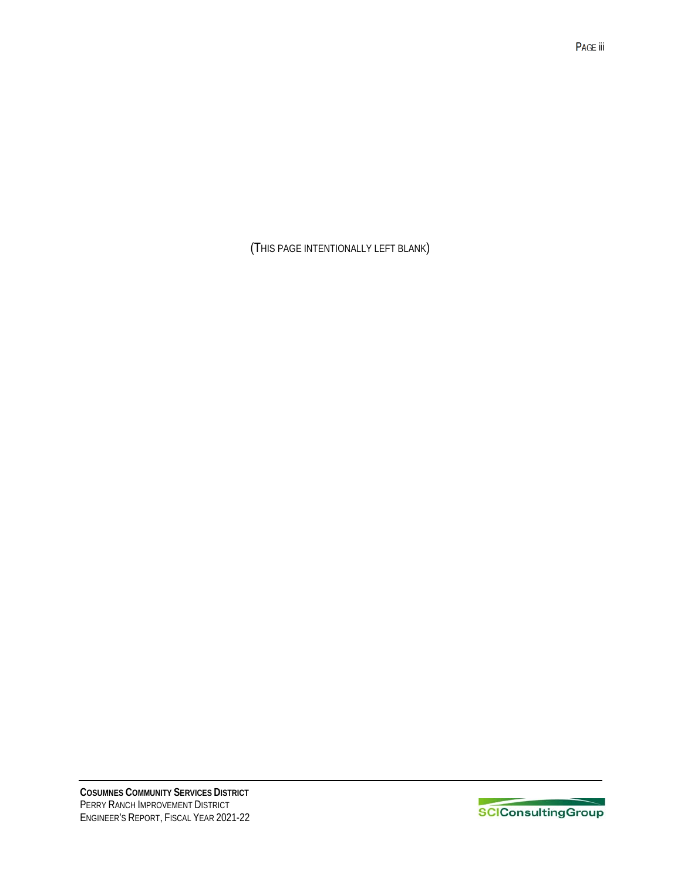(THIS PAGE INTENTIONALLY LEFT BLANK)

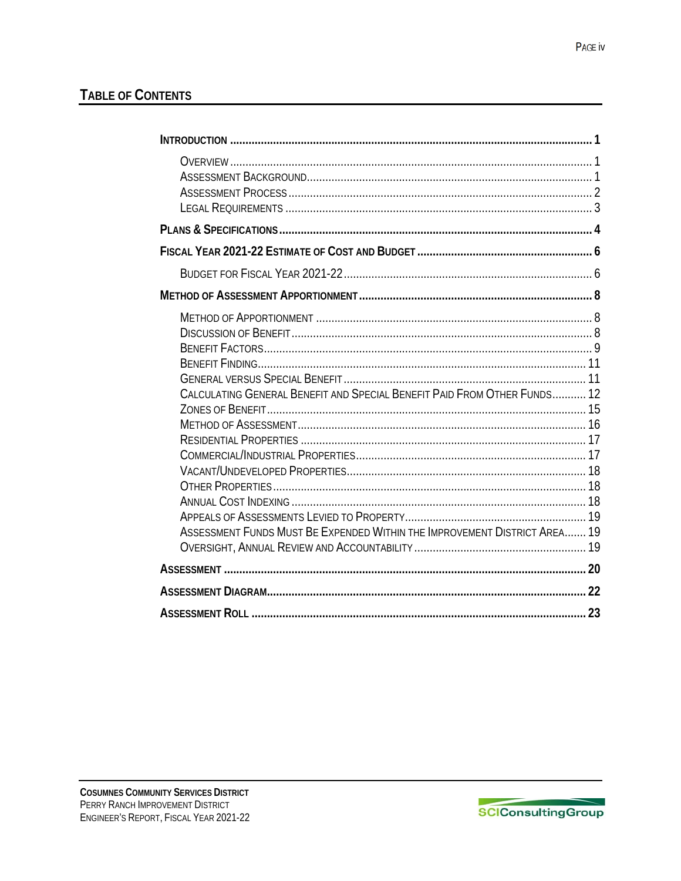# **TABLE OF CONTENTS**

| CALCULATING GENERAL BENEFIT AND SPECIAL BENEFIT PAID FROM OTHER FUNDS 12<br>ASSESSMENT FUNDS MUST BE EXPENDED WITHIN THE IMPROVEMENT DISTRICT AREA 19 |  |
|-------------------------------------------------------------------------------------------------------------------------------------------------------|--|
|                                                                                                                                                       |  |
|                                                                                                                                                       |  |
|                                                                                                                                                       |  |

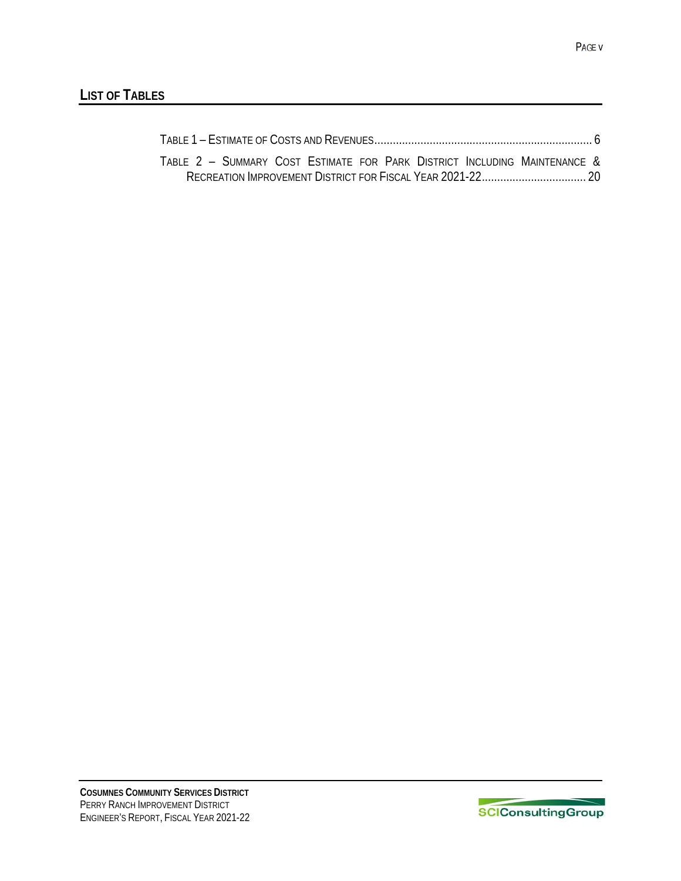# **LIST OF TABLES**

| TABLE 2 - SUMMARY COST ESTIMATE FOR PARK DISTRICT INCLUDING MAINTENANCE & |  |
|---------------------------------------------------------------------------|--|
|                                                                           |  |

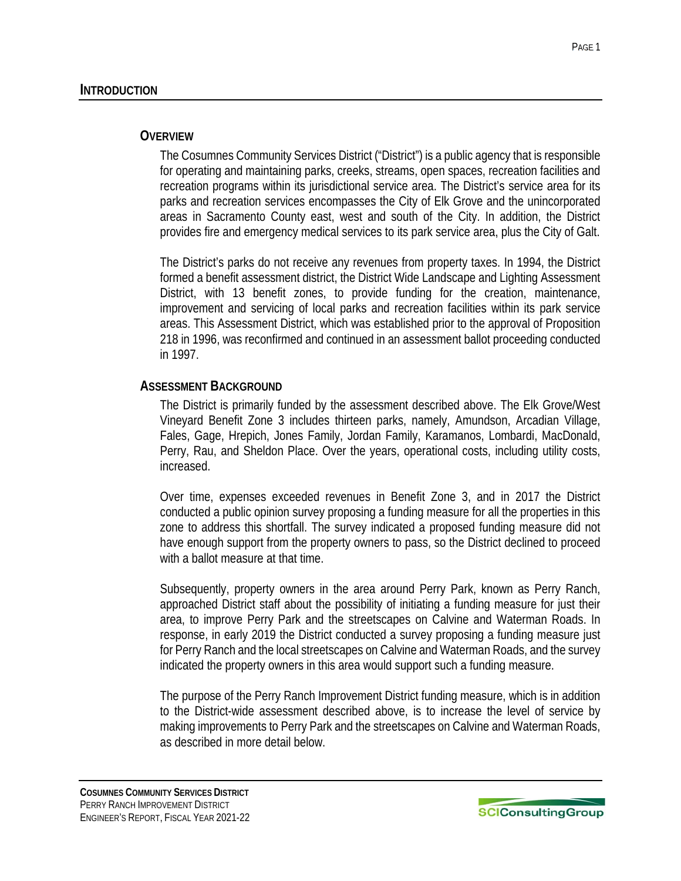### **OVERVIEW**

The Cosumnes Community Services District ("District") is a public agency that is responsible for operating and maintaining parks, creeks, streams, open spaces, recreation facilities and recreation programs within its jurisdictional service area. The District's service area for its parks and recreation services encompasses the City of Elk Grove and the unincorporated areas in Sacramento County east, west and south of the City. In addition, the District provides fire and emergency medical services to its park service area, plus the City of Galt.

The District's parks do not receive any revenues from property taxes. In 1994, the District formed a benefit assessment district, the District Wide Landscape and Lighting Assessment District, with 13 benefit zones, to provide funding for the creation, maintenance, improvement and servicing of local parks and recreation facilities within its park service areas. This Assessment District, which was established prior to the approval of Proposition 218 in 1996, was reconfirmed and continued in an assessment ballot proceeding conducted in 1997.

### **ASSESSMENT BACKGROUND**

The District is primarily funded by the assessment described above. The Elk Grove/West Vineyard Benefit Zone 3 includes thirteen parks, namely, Amundson, Arcadian Village, Fales, Gage, Hrepich, Jones Family, Jordan Family, Karamanos, Lombardi, MacDonald, Perry, Rau, and Sheldon Place. Over the years, operational costs, including utility costs, increased.

Over time, expenses exceeded revenues in Benefit Zone 3, and in 2017 the District conducted a public opinion survey proposing a funding measure for all the properties in this zone to address this shortfall. The survey indicated a proposed funding measure did not have enough support from the property owners to pass, so the District declined to proceed with a ballot measure at that time.

Subsequently, property owners in the area around Perry Park, known as Perry Ranch, approached District staff about the possibility of initiating a funding measure for just their area, to improve Perry Park and the streetscapes on Calvine and Waterman Roads. In response, in early 2019 the District conducted a survey proposing a funding measure just for Perry Ranch and the local streetscapes on Calvine and Waterman Roads, and the survey indicated the property owners in this area would support such a funding measure.

The purpose of the Perry Ranch Improvement District funding measure, which is in addition to the District-wide assessment described above, is to increase the level of service by making improvements to Perry Park and the streetscapes on Calvine and Waterman Roads, as described in more detail below.

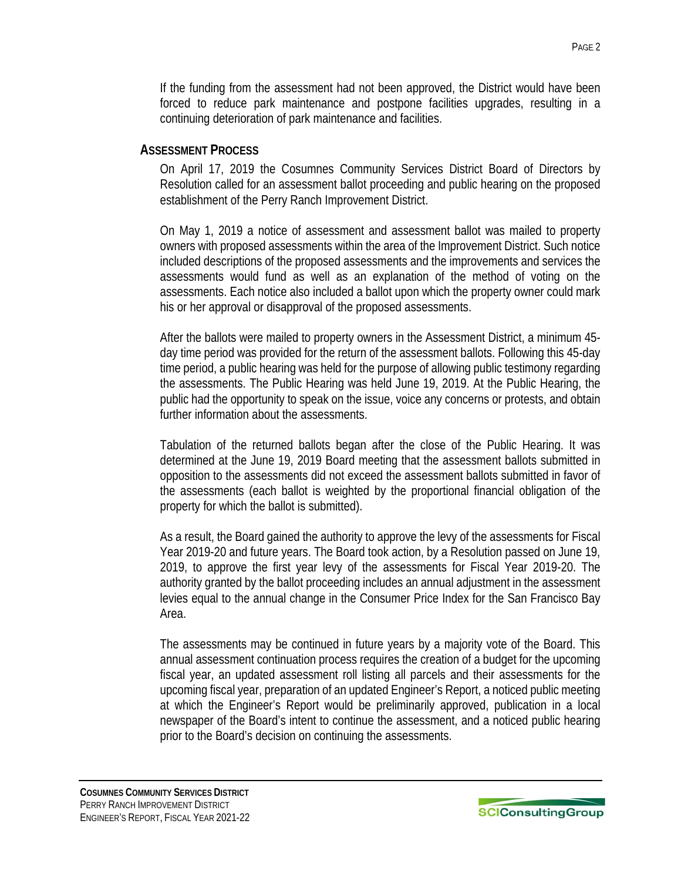If the funding from the assessment had not been approved, the District would have been forced to reduce park maintenance and postpone facilities upgrades, resulting in a continuing deterioration of park maintenance and facilities.

#### **ASSESSMENT PROCESS**

On April 17, 2019 the Cosumnes Community Services District Board of Directors by Resolution called for an assessment ballot proceeding and public hearing on the proposed establishment of the Perry Ranch Improvement District.

On May 1, 2019 a notice of assessment and assessment ballot was mailed to property owners with proposed assessments within the area of the Improvement District. Such notice included descriptions of the proposed assessments and the improvements and services the assessments would fund as well as an explanation of the method of voting on the assessments. Each notice also included a ballot upon which the property owner could mark his or her approval or disapproval of the proposed assessments.

After the ballots were mailed to property owners in the Assessment District, a minimum 45 day time period was provided for the return of the assessment ballots. Following this 45-day time period, a public hearing was held for the purpose of allowing public testimony regarding the assessments. The Public Hearing was held June 19, 2019. At the Public Hearing, the public had the opportunity to speak on the issue, voice any concerns or protests, and obtain further information about the assessments.

Tabulation of the returned ballots began after the close of the Public Hearing. It was determined at the June 19, 2019 Board meeting that the assessment ballots submitted in opposition to the assessments did not exceed the assessment ballots submitted in favor of the assessments (each ballot is weighted by the proportional financial obligation of the property for which the ballot is submitted).

As a result, the Board gained the authority to approve the levy of the assessments for Fiscal Year 2019-20 and future years. The Board took action, by a Resolution passed on June 19, 2019, to approve the first year levy of the assessments for Fiscal Year 2019-20. The authority granted by the ballot proceeding includes an annual adjustment in the assessment levies equal to the annual change in the Consumer Price Index for the San Francisco Bay Area.

The assessments may be continued in future years by a majority vote of the Board. This annual assessment continuation process requires the creation of a budget for the upcoming fiscal year, an updated assessment roll listing all parcels and their assessments for the upcoming fiscal year, preparation of an updated Engineer's Report, a noticed public meeting at which the Engineer's Report would be preliminarily approved, publication in a local newspaper of the Board's intent to continue the assessment, and a noticed public hearing prior to the Board's decision on continuing the assessments.

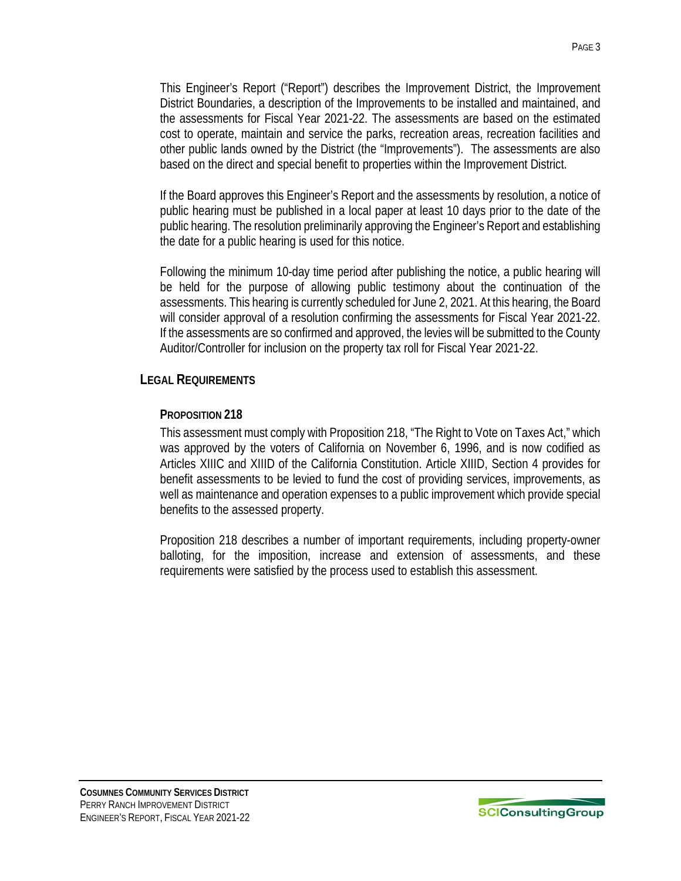This Engineer's Report ("Report") describes the Improvement District, the Improvement District Boundaries, a description of the Improvements to be installed and maintained, and the assessments for Fiscal Year 2021-22. The assessments are based on the estimated cost to operate, maintain and service the parks, recreation areas, recreation facilities and other public lands owned by the District (the "Improvements"). The assessments are also based on the direct and special benefit to properties within the Improvement District.

If the Board approves this Engineer's Report and the assessments by resolution, a notice of public hearing must be published in a local paper at least 10 days prior to the date of the public hearing. The resolution preliminarily approving the Engineer's Report and establishing the date for a public hearing is used for this notice.

Following the minimum 10-day time period after publishing the notice, a public hearing will be held for the purpose of allowing public testimony about the continuation of the assessments. This hearing is currently scheduled for June 2, 2021. At this hearing, the Board will consider approval of a resolution confirming the assessments for Fiscal Year 2021-22. If the assessments are so confirmed and approved, the levies will be submitted to the County Auditor/Controller for inclusion on the property tax roll for Fiscal Year 2021-22.

# **LEGAL REQUIREMENTS**

### **PROPOSITION 218**

This assessment must comply with Proposition 218, "The Right to Vote on Taxes Act," which was approved by the voters of California on November 6, 1996, and is now codified as Articles XIIIC and XIIID of the California Constitution. Article XIIID, Section 4 provides for benefit assessments to be levied to fund the cost of providing services, improvements, as well as maintenance and operation expenses to a public improvement which provide special benefits to the assessed property.

Proposition 218 describes a number of important requirements, including property-owner balloting, for the imposition, increase and extension of assessments, and these requirements were satisfied by the process used to establish this assessment.

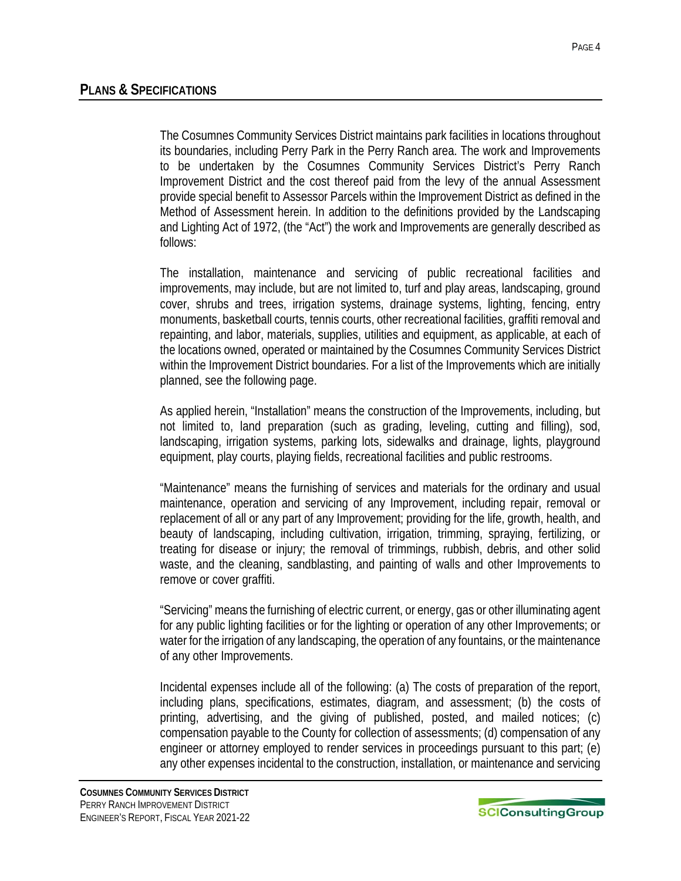## **PLANS & SPECIFICATIONS**

The Cosumnes Community Services District maintains park facilities in locations throughout its boundaries, including Perry Park in the Perry Ranch area. The work and Improvements to be undertaken by the Cosumnes Community Services District's Perry Ranch Improvement District and the cost thereof paid from the levy of the annual Assessment provide special benefit to Assessor Parcels within the Improvement District as defined in the Method of Assessment herein. In addition to the definitions provided by the Landscaping and Lighting Act of 1972, (the "Act") the work and Improvements are generally described as follows:

The installation, maintenance and servicing of public recreational facilities and improvements, may include, but are not limited to, turf and play areas, landscaping, ground cover, shrubs and trees, irrigation systems, drainage systems, lighting, fencing, entry monuments, basketball courts, tennis courts, other recreational facilities, graffiti removal and repainting, and labor, materials, supplies, utilities and equipment, as applicable, at each of the locations owned, operated or maintained by the Cosumnes Community Services District within the Improvement District boundaries. For a list of the Improvements which are initially planned, see the following page.

As applied herein, "Installation" means the construction of the Improvements, including, but not limited to, land preparation (such as grading, leveling, cutting and filling), sod, landscaping, irrigation systems, parking lots, sidewalks and drainage, lights, playground equipment, play courts, playing fields, recreational facilities and public restrooms.

"Maintenance" means the furnishing of services and materials for the ordinary and usual maintenance, operation and servicing of any Improvement, including repair, removal or replacement of all or any part of any Improvement; providing for the life, growth, health, and beauty of landscaping, including cultivation, irrigation, trimming, spraying, fertilizing, or treating for disease or injury; the removal of trimmings, rubbish, debris, and other solid waste, and the cleaning, sandblasting, and painting of walls and other Improvements to remove or cover graffiti.

"Servicing" means the furnishing of electric current, or energy, gas or other illuminating agent for any public lighting facilities or for the lighting or operation of any other Improvements; or water for the irrigation of any landscaping, the operation of any fountains, or the maintenance of any other Improvements.

Incidental expenses include all of the following: (a) The costs of preparation of the report, including plans, specifications, estimates, diagram, and assessment; (b) the costs of printing, advertising, and the giving of published, posted, and mailed notices; (c) compensation payable to the County for collection of assessments; (d) compensation of any engineer or attorney employed to render services in proceedings pursuant to this part; (e) any other expenses incidental to the construction, installation, or maintenance and servicing

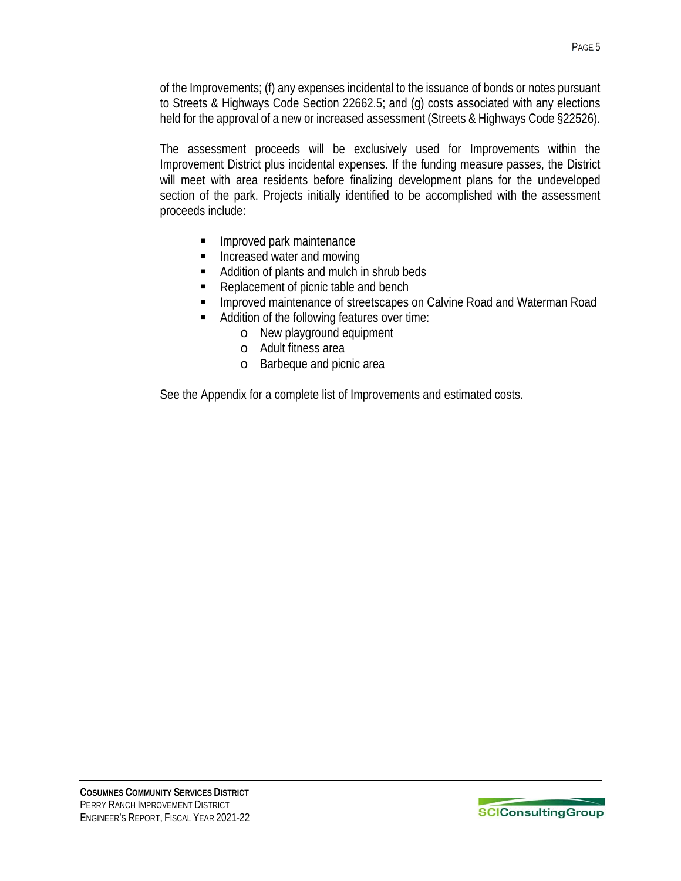of the Improvements; (f) any expenses incidental to the issuance of bonds or notes pursuant to Streets & Highways Code Section 22662.5; and (g) costs associated with any elections held for the approval of a new or increased assessment (Streets & Highways Code §22526).

The assessment proceeds will be exclusively used for Improvements within the Improvement District plus incidental expenses. If the funding measure passes, the District will meet with area residents before finalizing development plans for the undeveloped section of the park. Projects initially identified to be accomplished with the assessment proceeds include:

- **Improved park maintenance**
- **Increased water and mowing**
- Addition of plants and mulch in shrub beds
- Replacement of picnic table and bench
- **Improved maintenance of streetscapes on Calvine Road and Waterman Road**
- Addition of the following features over time:
	- o New playground equipment
	- o Adult fitness area
	- o Barbeque and picnic area

See the Appendix for a complete list of Improvements and estimated costs.

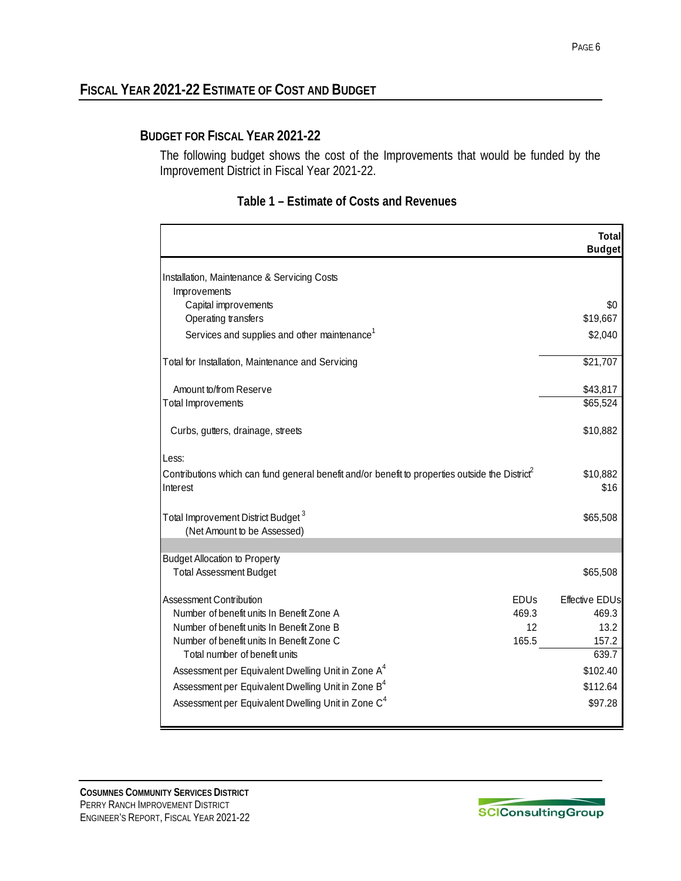# **FISCAL YEAR 2021-22 ESTIMATE OF COST AND BUDGET**

# **BUDGET FOR FISCAL YEAR 2021-22**

The following budget shows the cost of the Improvements that would be funded by the Improvement District in Fiscal Year 2021-22.

### **Table 1 – Estimate of Costs and Revenues**

|                                                                                                                     |             | Total<br><b>Budget</b> |
|---------------------------------------------------------------------------------------------------------------------|-------------|------------------------|
| Installation, Maintenance & Servicing Costs                                                                         |             |                        |
| Improvements                                                                                                        |             |                        |
| Capital improvements<br>Operating transfers                                                                         |             | \$0<br>\$19,667        |
| Services and supplies and other maintenance <sup>1</sup>                                                            |             | \$2,040                |
| Total for Installation, Maintenance and Servicing                                                                   |             | \$21,707               |
| Amount to/from Reserve                                                                                              |             | \$43,817               |
| Total Improvements                                                                                                  |             | \$65,524               |
| Curbs, gutters, drainage, streets                                                                                   |             | \$10,882               |
| Less:<br>Contributions which can fund general benefit and/or benefit to properties outside the District<br>Interest |             | \$10,882<br>\$16       |
| Total Improvement District Budget <sup>3</sup><br>(Net Amount to be Assessed)                                       |             | \$65,508               |
|                                                                                                                     |             |                        |
| <b>Budget Allocation to Property</b><br><b>Total Assessment Budget</b>                                              |             | \$65,508               |
| <b>Assessment Contribution</b>                                                                                      | <b>EDUs</b> | Effective EDUs         |
| Number of benefit units In Benefit Zone A                                                                           | 469.3       | 469.3                  |
| Number of benefit units In Benefit Zone B<br>Number of benefit units In Benefit Zone C                              | 12          | 13.2<br>157.2          |
| Total number of benefit units                                                                                       | 165.5       | 639.7                  |
| Assessment per Equivalent Dwelling Unit in Zone A <sup>4</sup>                                                      |             | \$102.40               |
| Assessment per Equivalent Dwelling Unit in Zone B <sup>4</sup>                                                      |             | \$112.64               |
| Assessment per Equivalent Dwelling Unit in Zone C <sup>4</sup>                                                      |             | \$97.28                |
|                                                                                                                     |             |                        |

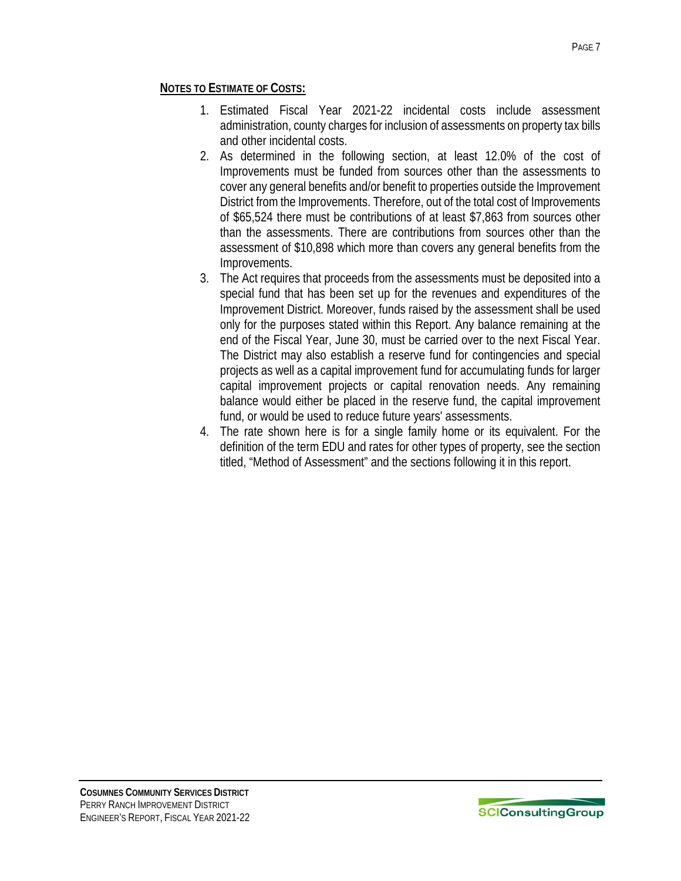# **NOTES TO ESTIMATE OF COSTS:**

- 1. Estimated Fiscal Year 2021-22 incidental costs include assessment administration, county charges for inclusion of assessments on property tax bills and other incidental costs.
- 2. As determined in the following section, at least 12.0% of the cost of Improvements must be funded from sources other than the assessments to cover any general benefits and/or benefit to properties outside the Improvement District from the Improvements. Therefore, out of the total cost of Improvements of \$65,524 there must be contributions of at least \$7,863 from sources other than the assessments. There are contributions from sources other than the assessment of \$10,898 which more than covers any general benefits from the Improvements.
- 3. The Act requires that proceeds from the assessments must be deposited into a special fund that has been set up for the revenues and expenditures of the Improvement District. Moreover, funds raised by the assessment shall be used only for the purposes stated within this Report. Any balance remaining at the end of the Fiscal Year, June 30, must be carried over to the next Fiscal Year. The District may also establish a reserve fund for contingencies and special projects as well as a capital improvement fund for accumulating funds for larger capital improvement projects or capital renovation needs. Any remaining balance would either be placed in the reserve fund, the capital improvement fund, or would be used to reduce future years' assessments.
- 4. The rate shown here is for a single family home or its equivalent. For the definition of the term EDU and rates for other types of property, see the section titled, "Method of Assessment" and the sections following it in this report.

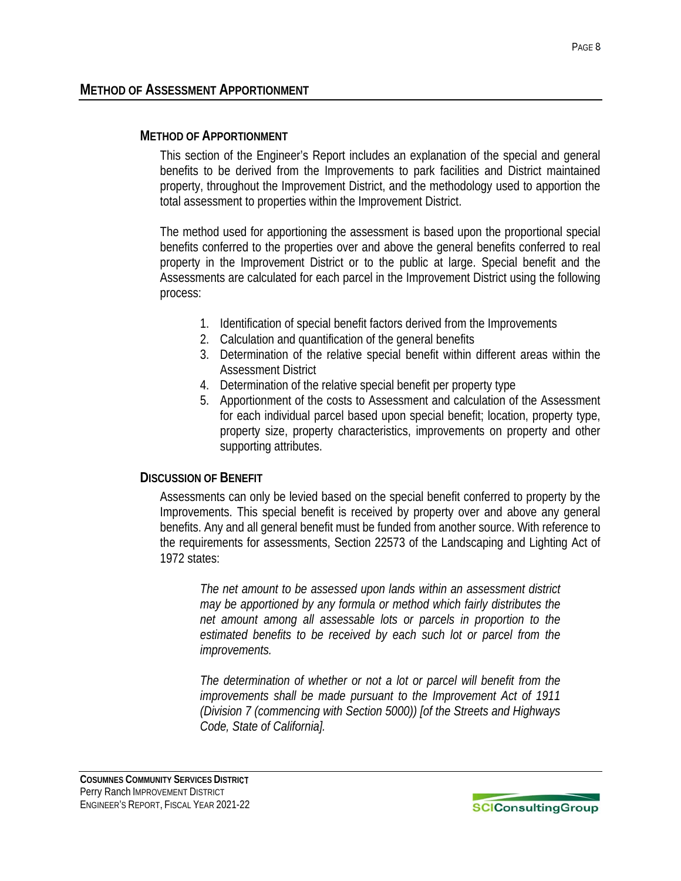### **METHOD OF ASSESSMENT APPORTIONMENT**

## **METHOD OF APPORTIONMENT**

This section of the Engineer's Report includes an explanation of the special and general benefits to be derived from the Improvements to park facilities and District maintained property, throughout the Improvement District, and the methodology used to apportion the total assessment to properties within the Improvement District.

The method used for apportioning the assessment is based upon the proportional special benefits conferred to the properties over and above the general benefits conferred to real property in the Improvement District or to the public at large. Special benefit and the Assessments are calculated for each parcel in the Improvement District using the following process:

- 1. Identification of special benefit factors derived from the Improvements
- 2. Calculation and quantification of the general benefits
- 3. Determination of the relative special benefit within different areas within the Assessment District
- 4. Determination of the relative special benefit per property type
- 5. Apportionment of the costs to Assessment and calculation of the Assessment for each individual parcel based upon special benefit; location, property type, property size, property characteristics, improvements on property and other supporting attributes.

### **DISCUSSION OF BENEFIT**

Assessments can only be levied based on the special benefit conferred to property by the Improvements. This special benefit is received by property over and above any general benefits. Any and all general benefit must be funded from another source. With reference to the requirements for assessments, Section 22573 of the Landscaping and Lighting Act of 1972 states:

*The net amount to be assessed upon lands within an assessment district may be apportioned by any formula or method which fairly distributes the net amount among all assessable lots or parcels in proportion to the estimated benefits to be received by each such lot or parcel from the improvements.* 

*The determination of whether or not a lot or parcel will benefit from the improvements shall be made pursuant to the Improvement Act of 1911 (Division 7 (commencing with Section 5000)) [of the Streets and Highways Code, State of California].* 

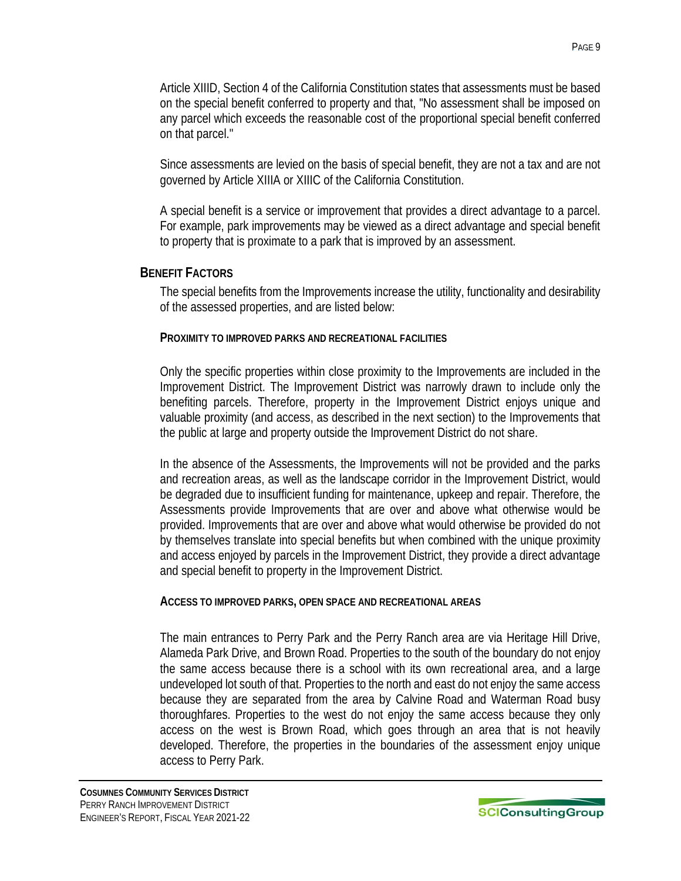Article XIIID, Section 4 of the California Constitution states that assessments must be based on the special benefit conferred to property and that, "No assessment shall be imposed on any parcel which exceeds the reasonable cost of the proportional special benefit conferred on that parcel."

Since assessments are levied on the basis of special benefit, they are not a tax and are not governed by Article XIIIA or XIIIC of the California Constitution.

A special benefit is a service or improvement that provides a direct advantage to a parcel. For example, park improvements may be viewed as a direct advantage and special benefit to property that is proximate to a park that is improved by an assessment.

#### **BENEFIT FACTORS**

The special benefits from the Improvements increase the utility, functionality and desirability of the assessed properties, and are listed below:

#### **PROXIMITY TO IMPROVED PARKS AND RECREATIONAL FACILITIES**

Only the specific properties within close proximity to the Improvements are included in the Improvement District. The Improvement District was narrowly drawn to include only the benefiting parcels. Therefore, property in the Improvement District enjoys unique and valuable proximity (and access, as described in the next section) to the Improvements that the public at large and property outside the Improvement District do not share.

In the absence of the Assessments, the Improvements will not be provided and the parks and recreation areas, as well as the landscape corridor in the Improvement District, would be degraded due to insufficient funding for maintenance, upkeep and repair. Therefore, the Assessments provide Improvements that are over and above what otherwise would be provided. Improvements that are over and above what would otherwise be provided do not by themselves translate into special benefits but when combined with the unique proximity and access enjoyed by parcels in the Improvement District, they provide a direct advantage and special benefit to property in the Improvement District.

#### **ACCESS TO IMPROVED PARKS, OPEN SPACE AND RECREATIONAL AREAS**

The main entrances to Perry Park and the Perry Ranch area are via Heritage Hill Drive, Alameda Park Drive, and Brown Road. Properties to the south of the boundary do not enjoy the same access because there is a school with its own recreational area, and a large undeveloped lot south of that. Properties to the north and east do not enjoy the same access because they are separated from the area by Calvine Road and Waterman Road busy thoroughfares. Properties to the west do not enjoy the same access because they only access on the west is Brown Road, which goes through an area that is not heavily developed. Therefore, the properties in the boundaries of the assessment enjoy unique access to Perry Park.

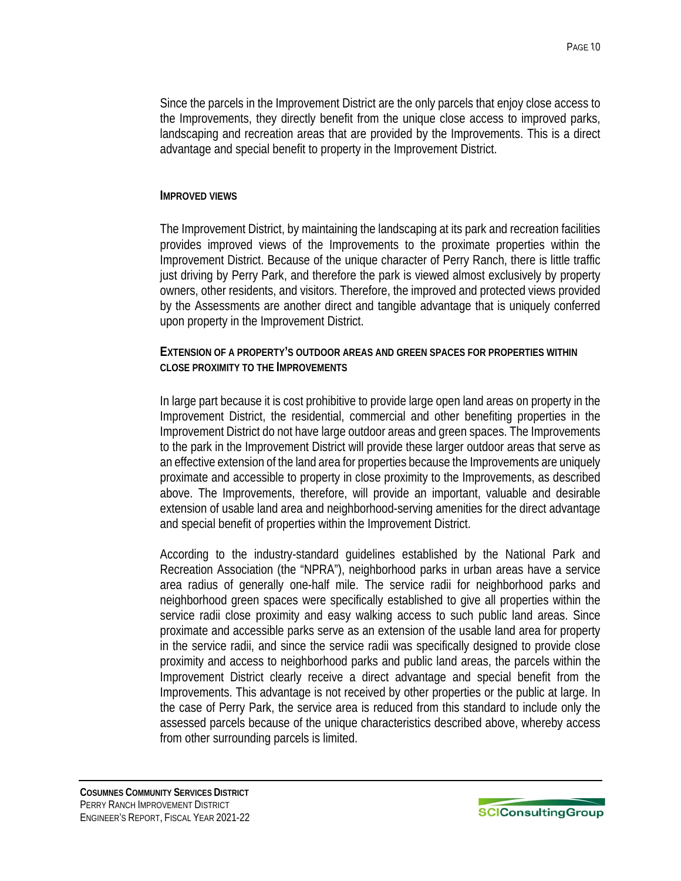Since the parcels in the Improvement District are the only parcels that enjoy close access to the Improvements, they directly benefit from the unique close access to improved parks, landscaping and recreation areas that are provided by the Improvements. This is a direct advantage and special benefit to property in the Improvement District.

#### **IMPROVED VIEWS**

The Improvement District, by maintaining the landscaping at its park and recreation facilities provides improved views of the Improvements to the proximate properties within the Improvement District. Because of the unique character of Perry Ranch, there is little traffic just driving by Perry Park, and therefore the park is viewed almost exclusively by property owners, other residents, and visitors. Therefore, the improved and protected views provided by the Assessments are another direct and tangible advantage that is uniquely conferred upon property in the Improvement District.

#### **EXTENSION OF A PROPERTY'S OUTDOOR AREAS AND GREEN SPACES FOR PROPERTIES WITHIN CLOSE PROXIMITY TO THE IMPROVEMENTS**

In large part because it is cost prohibitive to provide large open land areas on property in the Improvement District, the residential, commercial and other benefiting properties in the Improvement District do not have large outdoor areas and green spaces. The Improvements to the park in the Improvement District will provide these larger outdoor areas that serve as an effective extension of the land area for properties because the Improvements are uniquely proximate and accessible to property in close proximity to the Improvements, as described above. The Improvements, therefore, will provide an important, valuable and desirable extension of usable land area and neighborhood-serving amenities for the direct advantage and special benefit of properties within the Improvement District.

According to the industry-standard guidelines established by the National Park and Recreation Association (the "NPRA"), neighborhood parks in urban areas have a service area radius of generally one-half mile. The service radii for neighborhood parks and neighborhood green spaces were specifically established to give all properties within the service radii close proximity and easy walking access to such public land areas. Since proximate and accessible parks serve as an extension of the usable land area for property in the service radii, and since the service radii was specifically designed to provide close proximity and access to neighborhood parks and public land areas, the parcels within the Improvement District clearly receive a direct advantage and special benefit from the Improvements. This advantage is not received by other properties or the public at large. In the case of Perry Park, the service area is reduced from this standard to include only the assessed parcels because of the unique characteristics described above, whereby access from other surrounding parcels is limited.

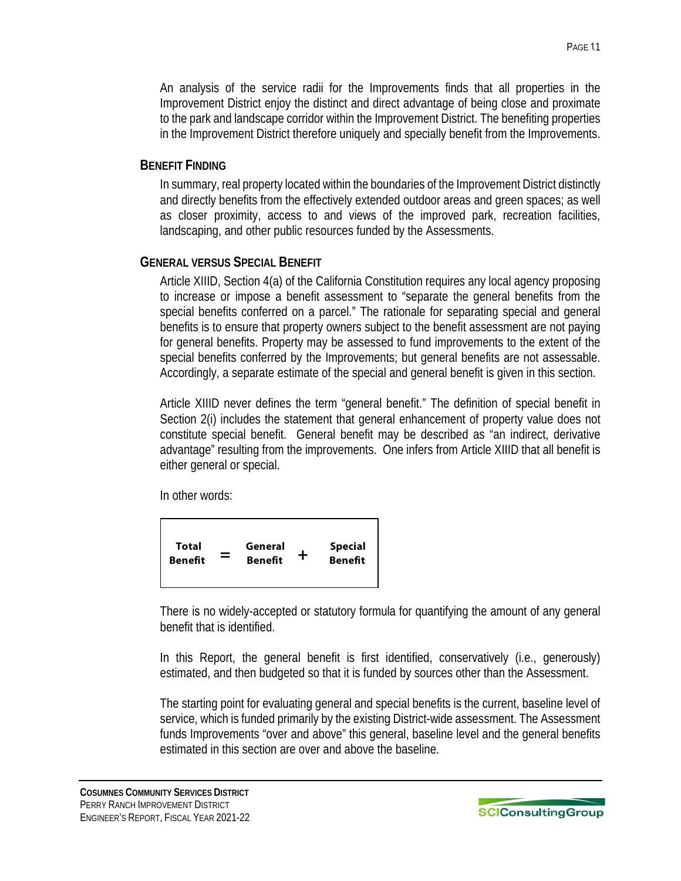An analysis of the service radii for the Improvements finds that all properties in the Improvement District enjoy the distinct and direct advantage of being close and proximate to the park and landscape corridor within the Improvement District. The benefiting properties in the Improvement District therefore uniquely and specially benefit from the Improvements.

### **BENEFIT FINDING**

In summary, real property located within the boundaries of the Improvement District distinctly and directly benefits from the effectively extended outdoor areas and green spaces; as well as closer proximity, access to and views of the improved park, recreation facilities, landscaping, and other public resources funded by the Assessments.

### **GENERAL VERSUS SPECIAL BENEFIT**

Article XIIID, Section 4(a) of the California Constitution requires any local agency proposing to increase or impose a benefit assessment to "separate the general benefits from the special benefits conferred on a parcel." The rationale for separating special and general benefits is to ensure that property owners subject to the benefit assessment are not paying for general benefits. Property may be assessed to fund improvements to the extent of the special benefits conferred by the Improvements; but general benefits are not assessable. Accordingly, a separate estimate of the special and general benefit is given in this section.

Article XIIID never defines the term "general benefit." The definition of special benefit in Section 2(i) includes the statement that general enhancement of property value does not constitute special benefit. General benefit may be described as "an indirect, derivative advantage" resulting from the improvements. One infers from Article XIIID that all benefit is either general or special.

In other words:



There is no widely-accepted or statutory formula for quantifying the amount of any general benefit that is identified.

In this Report, the general benefit is first identified, conservatively (i.e., generously) estimated, and then budgeted so that it is funded by sources other than the Assessment.

The starting point for evaluating general and special benefits is the current, baseline level of service, which is funded primarily by the existing District-wide assessment. The Assessment funds Improvements "over and above" this general, baseline level and the general benefits estimated in this section are over and above the baseline.

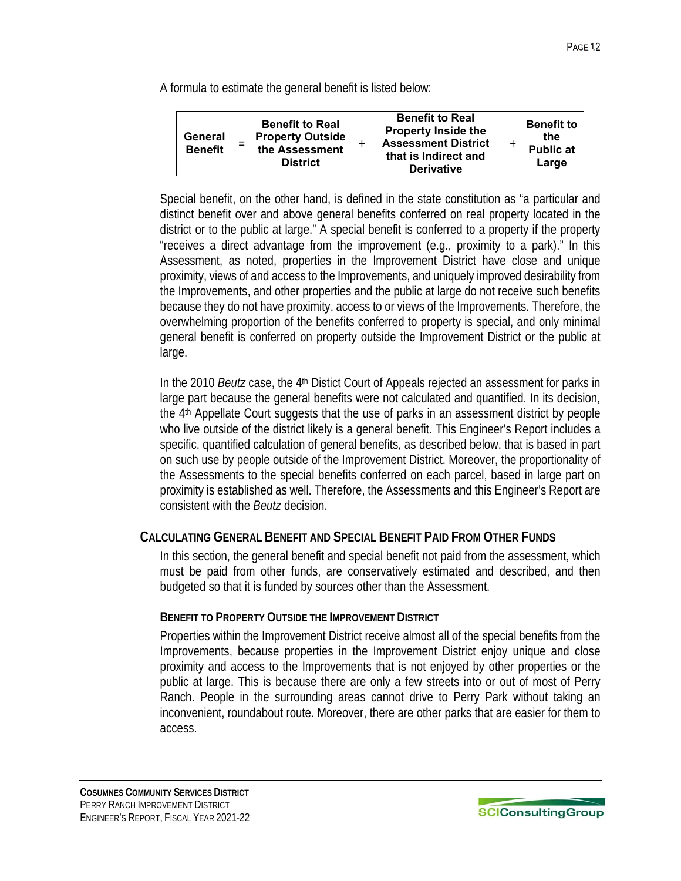A formula to estimate the general benefit is listed below:

| <b>Benefit to Real</b><br><b>Property Outside</b><br>General<br>the Assessment<br><b>Benefit</b><br><b>District</b> | <b>Benefit to Real</b><br><b>Property Inside the</b><br><b>Assessment District</b><br>that is Indirect and<br><b>Derivative</b> |  | <b>Benefit to</b><br>the<br><b>Public at</b><br>Large |
|---------------------------------------------------------------------------------------------------------------------|---------------------------------------------------------------------------------------------------------------------------------|--|-------------------------------------------------------|
|---------------------------------------------------------------------------------------------------------------------|---------------------------------------------------------------------------------------------------------------------------------|--|-------------------------------------------------------|

Special benefit, on the other hand, is defined in the state constitution as "a particular and distinct benefit over and above general benefits conferred on real property located in the district or to the public at large." A special benefit is conferred to a property if the property "receives a direct advantage from the improvement (e.g., proximity to a park)." In this Assessment, as noted, properties in the Improvement District have close and unique proximity, views of and access to the Improvements, and uniquely improved desirability from the Improvements, and other properties and the public at large do not receive such benefits because they do not have proximity, access to or views of the Improvements. Therefore, the overwhelming proportion of the benefits conferred to property is special, and only minimal general benefit is conferred on property outside the Improvement District or the public at large.

In the 2010 *Beutz* case, the 4<sup>th</sup> Distict Court of Appeals rejected an assessment for parks in large part because the general benefits were not calculated and quantified. In its decision, the 4<sup>th</sup> Appellate Court suggests that the use of parks in an assessment district by people who live outside of the district likely is a general benefit. This Engineer's Report includes a specific, quantified calculation of general benefits, as described below, that is based in part on such use by people outside of the Improvement District. Moreover, the proportionality of the Assessments to the special benefits conferred on each parcel, based in large part on proximity is established as well. Therefore, the Assessments and this Engineer's Report are consistent with the *Beutz* decision.

# **CALCULATING GENERAL BENEFIT AND SPECIAL BENEFIT PAID FROM OTHER FUNDS**

In this section, the general benefit and special benefit not paid from the assessment, which must be paid from other funds, are conservatively estimated and described, and then budgeted so that it is funded by sources other than the Assessment.

### **BENEFIT TO PROPERTY OUTSIDE THE IMPROVEMENT DISTRICT**

Properties within the Improvement District receive almost all of the special benefits from the Improvements, because properties in the Improvement District enjoy unique and close proximity and access to the Improvements that is not enjoyed by other properties or the public at large. This is because there are only a few streets into or out of most of Perry Ranch. People in the surrounding areas cannot drive to Perry Park without taking an inconvenient, roundabout route. Moreover, there are other parks that are easier for them to access.

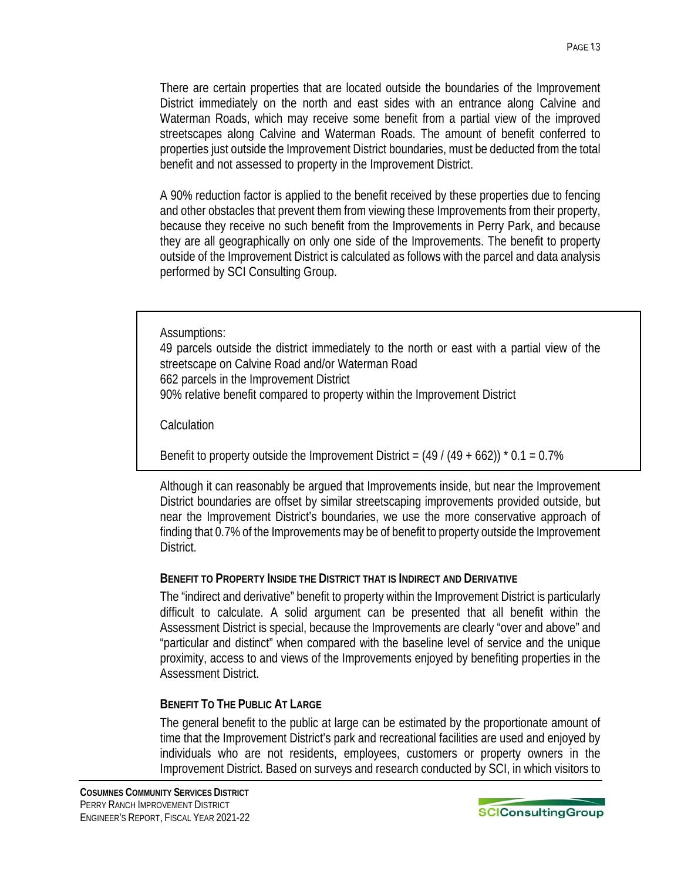There are certain properties that are located outside the boundaries of the Improvement District immediately on the north and east sides with an entrance along Calvine and Waterman Roads, which may receive some benefit from a partial view of the improved streetscapes along Calvine and Waterman Roads. The amount of benefit conferred to properties just outside the Improvement District boundaries, must be deducted from the total benefit and not assessed to property in the Improvement District.

A 90% reduction factor is applied to the benefit received by these properties due to fencing and other obstacles that prevent them from viewing these Improvements from their property, because they receive no such benefit from the Improvements in Perry Park, and because they are all geographically on only one side of the Improvements. The benefit to property outside of the Improvement District is calculated as follows with the parcel and data analysis performed by SCI Consulting Group.

Assumptions: 49 parcels outside the district immediately to the north or east with a partial view of the streetscape on Calvine Road and/or Waterman Road 662 parcels in the Improvement District 90% relative benefit compared to property within the Improvement District

**Calculation** 

Benefit to property outside the Improvement District =  $(49 / (49 + 662))^* 0.1 = 0.7\%$ 

Although it can reasonably be argued that Improvements inside, but near the Improvement District boundaries are offset by similar streetscaping improvements provided outside, but near the Improvement District's boundaries, we use the more conservative approach of finding that 0.7% of the Improvements may be of benefit to property outside the Improvement District.

# **BENEFIT TO PROPERTY INSIDE THE DISTRICT THAT IS INDIRECT AND DERIVATIVE**

The "indirect and derivative" benefit to property within the Improvement District is particularly difficult to calculate. A solid argument can be presented that all benefit within the Assessment District is special, because the Improvements are clearly "over and above" and "particular and distinct" when compared with the baseline level of service and the unique proximity, access to and views of the Improvements enjoyed by benefiting properties in the Assessment District.

# **BENEFIT TO THE PUBLIC AT LARGE**

The general benefit to the public at large can be estimated by the proportionate amount of time that the Improvement District's park and recreational facilities are used and enjoyed by individuals who are not residents, employees, customers or property owners in the Improvement District. Based on surveys and research conducted by SCI, in which visitors to

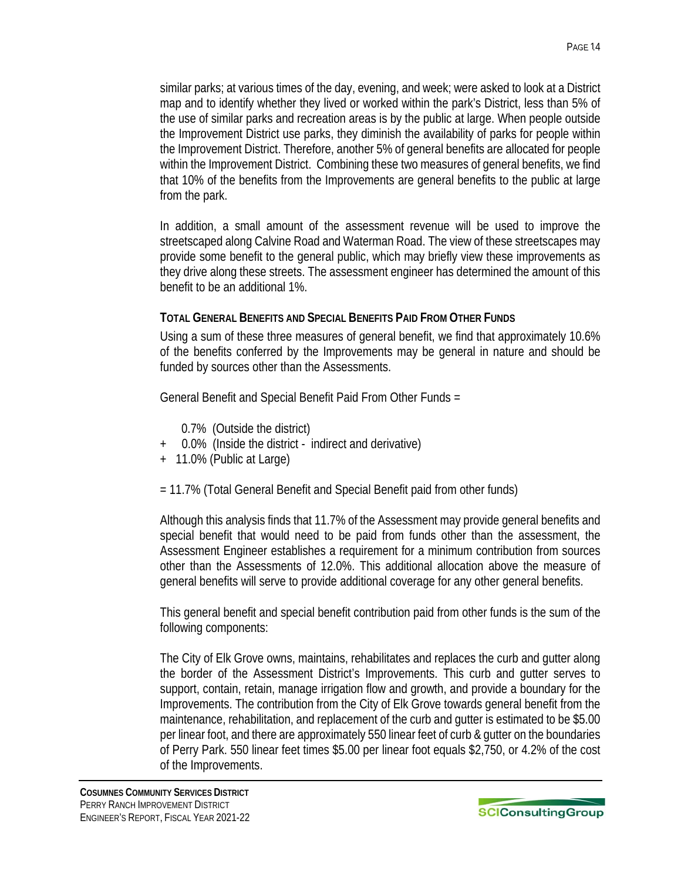similar parks; at various times of the day, evening, and week; were asked to look at a District map and to identify whether they lived or worked within the park's District, less than 5% of the use of similar parks and recreation areas is by the public at large. When people outside the Improvement District use parks, they diminish the availability of parks for people within the Improvement District. Therefore, another 5% of general benefits are allocated for people within the Improvement District. Combining these two measures of general benefits, we find that 10% of the benefits from the Improvements are general benefits to the public at large from the park.

In addition, a small amount of the assessment revenue will be used to improve the streetscaped along Calvine Road and Waterman Road. The view of these streetscapes may provide some benefit to the general public, which may briefly view these improvements as they drive along these streets. The assessment engineer has determined the amount of this benefit to be an additional 1%.

# **TOTAL GENERAL BENEFITS AND SPECIAL BENEFITS PAID FROM OTHER FUNDS**

Using a sum of these three measures of general benefit, we find that approximately 10.6% of the benefits conferred by the Improvements may be general in nature and should be funded by sources other than the Assessments.

General Benefit and Special Benefit Paid From Other Funds =

- 0.7% (Outside the district)
- + 0.0% (Inside the district indirect and derivative)
- + 11.0% (Public at Large)
- = 11.7% (Total General Benefit and Special Benefit paid from other funds)

Although this analysis finds that 11.7% of the Assessment may provide general benefits and special benefit that would need to be paid from funds other than the assessment, the Assessment Engineer establishes a requirement for a minimum contribution from sources other than the Assessments of 12.0%. This additional allocation above the measure of general benefits will serve to provide additional coverage for any other general benefits.

This general benefit and special benefit contribution paid from other funds is the sum of the following components:

The City of Elk Grove owns, maintains, rehabilitates and replaces the curb and gutter along the border of the Assessment District's Improvements. This curb and gutter serves to support, contain, retain, manage irrigation flow and growth, and provide a boundary for the Improvements. The contribution from the City of Elk Grove towards general benefit from the maintenance, rehabilitation, and replacement of the curb and gutter is estimated to be \$5.00 per linear foot, and there are approximately 550 linear feet of curb & gutter on the boundaries of Perry Park. 550 linear feet times \$5.00 per linear foot equals \$2,750, or 4.2% of the cost of the Improvements.

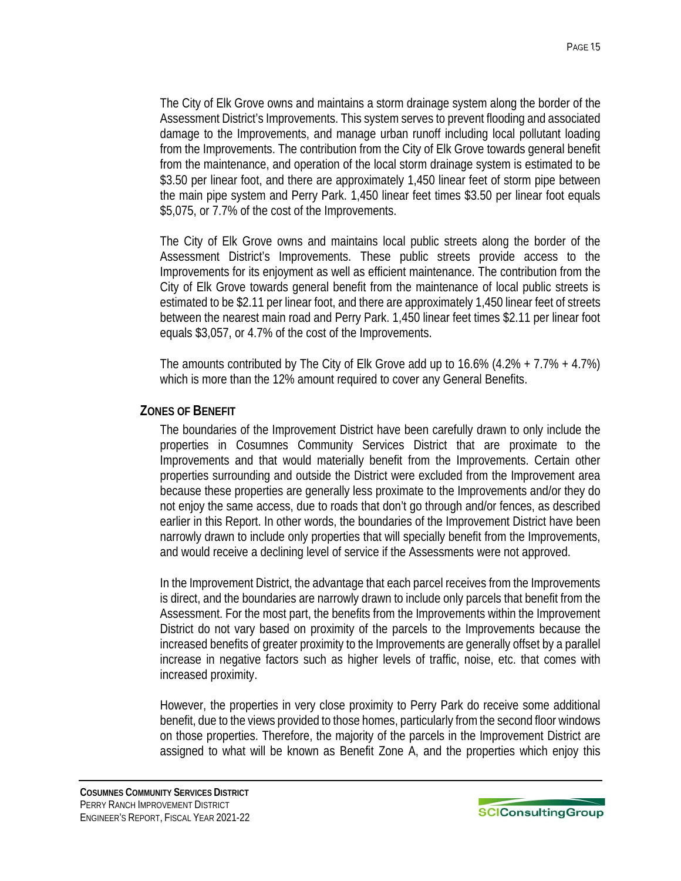The City of Elk Grove owns and maintains a storm drainage system along the border of the Assessment District's Improvements. This system serves to prevent flooding and associated damage to the Improvements, and manage urban runoff including local pollutant loading from the Improvements. The contribution from the City of Elk Grove towards general benefit from the maintenance, and operation of the local storm drainage system is estimated to be \$3.50 per linear foot, and there are approximately 1,450 linear feet of storm pipe between the main pipe system and Perry Park. 1,450 linear feet times \$3.50 per linear foot equals \$5,075, or 7.7% of the cost of the Improvements.

The City of Elk Grove owns and maintains local public streets along the border of the Assessment District's Improvements. These public streets provide access to the Improvements for its enjoyment as well as efficient maintenance. The contribution from the City of Elk Grove towards general benefit from the maintenance of local public streets is estimated to be \$2.11 per linear foot, and there are approximately 1,450 linear feet of streets between the nearest main road and Perry Park. 1,450 linear feet times \$2.11 per linear foot equals \$3,057, or 4.7% of the cost of the Improvements.

The amounts contributed by The City of Elk Grove add up to 16.6% (4.2% + 7.7% + 4.7%) which is more than the 12% amount required to cover any General Benefits.

### **ZONES OF BENEFIT**

The boundaries of the Improvement District have been carefully drawn to only include the properties in Cosumnes Community Services District that are proximate to the Improvements and that would materially benefit from the Improvements. Certain other properties surrounding and outside the District were excluded from the Improvement area because these properties are generally less proximate to the Improvements and/or they do not enjoy the same access, due to roads that don't go through and/or fences, as described earlier in this Report. In other words, the boundaries of the Improvement District have been narrowly drawn to include only properties that will specially benefit from the Improvements, and would receive a declining level of service if the Assessments were not approved.

In the Improvement District, the advantage that each parcel receives from the Improvements is direct, and the boundaries are narrowly drawn to include only parcels that benefit from the Assessment. For the most part, the benefits from the Improvements within the Improvement District do not vary based on proximity of the parcels to the Improvements because the increased benefits of greater proximity to the Improvements are generally offset by a parallel increase in negative factors such as higher levels of traffic, noise, etc. that comes with increased proximity.

However, the properties in very close proximity to Perry Park do receive some additional benefit, due to the views provided to those homes, particularly from the second floor windows on those properties. Therefore, the majority of the parcels in the Improvement District are assigned to what will be known as Benefit Zone A, and the properties which enjoy this

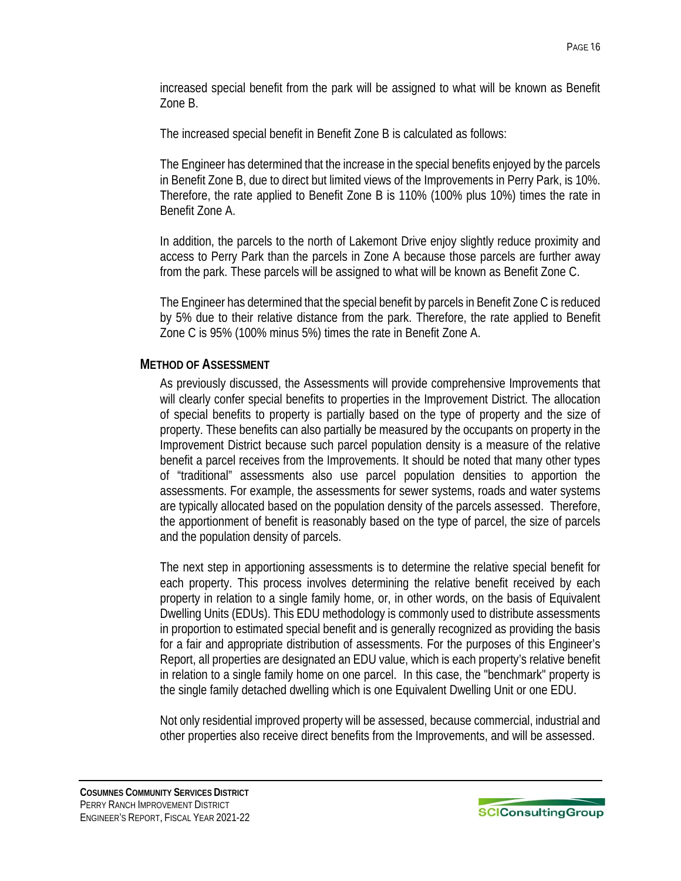increased special benefit from the park will be assigned to what will be known as Benefit Zone B.

The increased special benefit in Benefit Zone B is calculated as follows:

The Engineer has determined that the increase in the special benefits enjoyed by the parcels in Benefit Zone B, due to direct but limited views of the Improvements in Perry Park, is 10%. Therefore, the rate applied to Benefit Zone B is 110% (100% plus 10%) times the rate in Benefit Zone A.

In addition, the parcels to the north of Lakemont Drive enjoy slightly reduce proximity and access to Perry Park than the parcels in Zone A because those parcels are further away from the park. These parcels will be assigned to what will be known as Benefit Zone C.

The Engineer has determined that the special benefit by parcels in Benefit Zone C is reduced by 5% due to their relative distance from the park. Therefore, the rate applied to Benefit Zone C is 95% (100% minus 5%) times the rate in Benefit Zone A.

# **METHOD OF ASSESSMENT**

As previously discussed, the Assessments will provide comprehensive Improvements that will clearly confer special benefits to properties in the Improvement District. The allocation of special benefits to property is partially based on the type of property and the size of property. These benefits can also partially be measured by the occupants on property in the Improvement District because such parcel population density is a measure of the relative benefit a parcel receives from the Improvements. It should be noted that many other types of "traditional" assessments also use parcel population densities to apportion the assessments. For example, the assessments for sewer systems, roads and water systems are typically allocated based on the population density of the parcels assessed. Therefore, the apportionment of benefit is reasonably based on the type of parcel, the size of parcels and the population density of parcels.

The next step in apportioning assessments is to determine the relative special benefit for each property. This process involves determining the relative benefit received by each property in relation to a single family home, or, in other words, on the basis of Equivalent Dwelling Units (EDUs). This EDU methodology is commonly used to distribute assessments in proportion to estimated special benefit and is generally recognized as providing the basis for a fair and appropriate distribution of assessments. For the purposes of this Engineer's Report, all properties are designated an EDU value, which is each property's relative benefit in relation to a single family home on one parcel. In this case, the "benchmark" property is the single family detached dwelling which is one Equivalent Dwelling Unit or one EDU.

Not only residential improved property will be assessed, because commercial, industrial and other properties also receive direct benefits from the Improvements, and will be assessed.

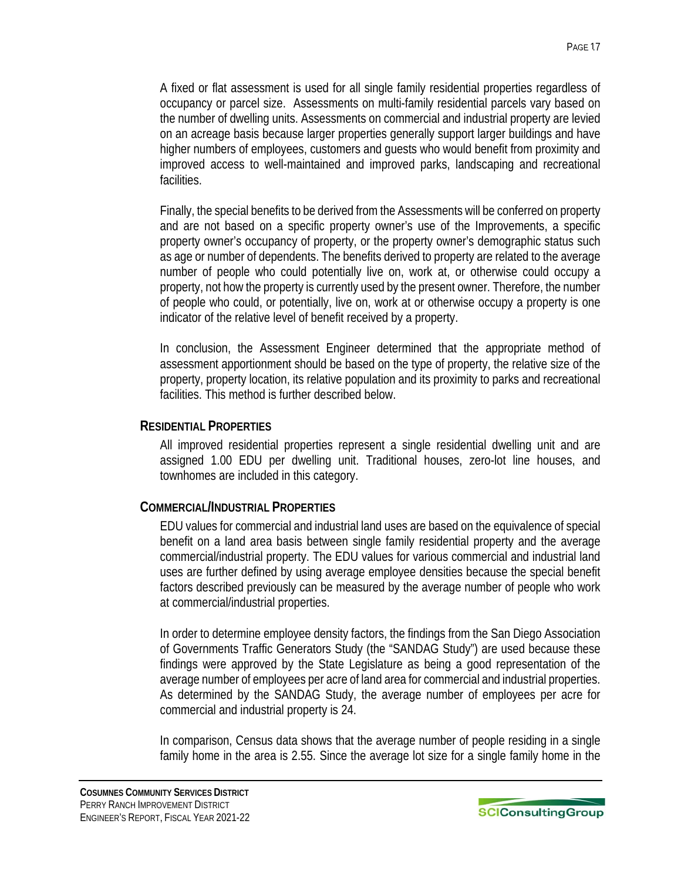A fixed or flat assessment is used for all single family residential properties regardless of occupancy or parcel size. Assessments on multi-family residential parcels vary based on the number of dwelling units. Assessments on commercial and industrial property are levied on an acreage basis because larger properties generally support larger buildings and have higher numbers of employees, customers and guests who would benefit from proximity and improved access to well-maintained and improved parks, landscaping and recreational facilities.

Finally, the special benefits to be derived from the Assessments will be conferred on property and are not based on a specific property owner's use of the Improvements, a specific property owner's occupancy of property, or the property owner's demographic status such as age or number of dependents. The benefits derived to property are related to the average number of people who could potentially live on, work at, or otherwise could occupy a property, not how the property is currently used by the present owner. Therefore, the number of people who could, or potentially, live on, work at or otherwise occupy a property is one indicator of the relative level of benefit received by a property.

In conclusion, the Assessment Engineer determined that the appropriate method of assessment apportionment should be based on the type of property, the relative size of the property, property location, its relative population and its proximity to parks and recreational facilities. This method is further described below.

### **RESIDENTIAL PROPERTIES**

All improved residential properties represent a single residential dwelling unit and are assigned 1.00 EDU per dwelling unit. Traditional houses, zero-lot line houses, and townhomes are included in this category.

# **COMMERCIAL/INDUSTRIAL PROPERTIES**

EDU values for commercial and industrial land uses are based on the equivalence of special benefit on a land area basis between single family residential property and the average commercial/industrial property. The EDU values for various commercial and industrial land uses are further defined by using average employee densities because the special benefit factors described previously can be measured by the average number of people who work at commercial/industrial properties.

In order to determine employee density factors, the findings from the San Diego Association of Governments Traffic Generators Study (the "SANDAG Study") are used because these findings were approved by the State Legislature as being a good representation of the average number of employees per acre of land area for commercial and industrial properties. As determined by the SANDAG Study, the average number of employees per acre for commercial and industrial property is 24.

In comparison, Census data shows that the average number of people residing in a single family home in the area is 2.55. Since the average lot size for a single family home in the

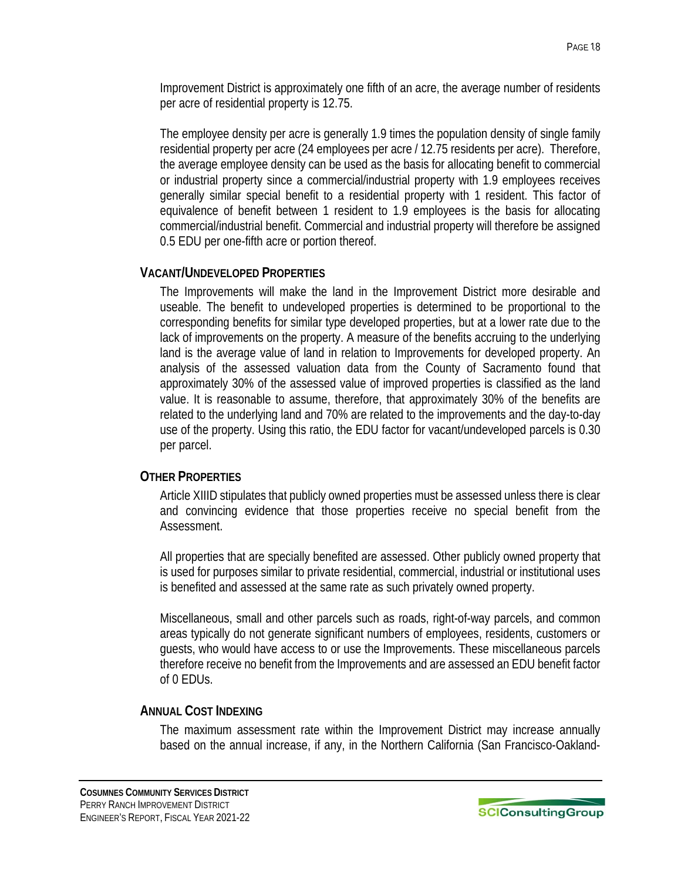Improvement District is approximately one fifth of an acre, the average number of residents per acre of residential property is 12.75.

The employee density per acre is generally 1.9 times the population density of single family residential property per acre (24 employees per acre / 12.75 residents per acre). Therefore, the average employee density can be used as the basis for allocating benefit to commercial or industrial property since a commercial/industrial property with 1.9 employees receives generally similar special benefit to a residential property with 1 resident. This factor of equivalence of benefit between 1 resident to 1.9 employees is the basis for allocating commercial/industrial benefit. Commercial and industrial property will therefore be assigned 0.5 EDU per one-fifth acre or portion thereof.

# **VACANT/UNDEVELOPED PROPERTIES**

The Improvements will make the land in the Improvement District more desirable and useable. The benefit to undeveloped properties is determined to be proportional to the corresponding benefits for similar type developed properties, but at a lower rate due to the lack of improvements on the property. A measure of the benefits accruing to the underlying land is the average value of land in relation to Improvements for developed property. An analysis of the assessed valuation data from the County of Sacramento found that approximately 30% of the assessed value of improved properties is classified as the land value. It is reasonable to assume, therefore, that approximately 30% of the benefits are related to the underlying land and 70% are related to the improvements and the day-to-day use of the property. Using this ratio, the EDU factor for vacant/undeveloped parcels is 0.30 per parcel.

# **OTHER PROPERTIES**

Article XIIID stipulates that publicly owned properties must be assessed unless there is clear and convincing evidence that those properties receive no special benefit from the Assessment.

All properties that are specially benefited are assessed. Other publicly owned property that is used for purposes similar to private residential, commercial, industrial or institutional uses is benefited and assessed at the same rate as such privately owned property.

Miscellaneous, small and other parcels such as roads, right-of-way parcels, and common areas typically do not generate significant numbers of employees, residents, customers or guests, who would have access to or use the Improvements. These miscellaneous parcels therefore receive no benefit from the Improvements and are assessed an EDU benefit factor of 0 EDUs.

# **ANNUAL COST INDEXING**

The maximum assessment rate within the Improvement District may increase annually based on the annual increase, if any, in the Northern California (San Francisco-Oakland-

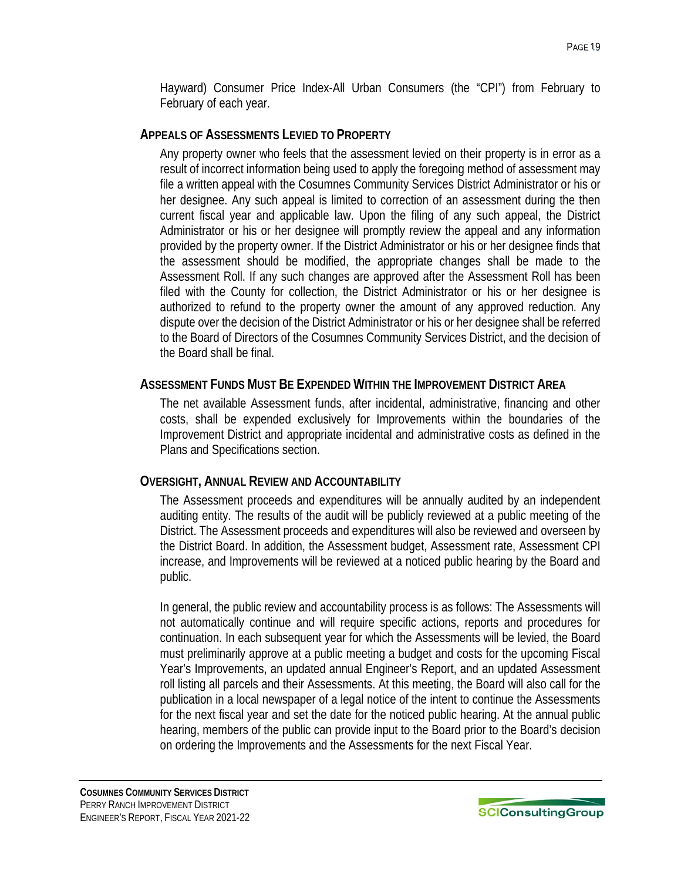Hayward) Consumer Price Index-All Urban Consumers (the "CPI") from February to February of each year.

### **APPEALS OF ASSESSMENTS LEVIED TO PROPERTY**

Any property owner who feels that the assessment levied on their property is in error as a result of incorrect information being used to apply the foregoing method of assessment may file a written appeal with the Cosumnes Community Services District Administrator or his or her designee. Any such appeal is limited to correction of an assessment during the then current fiscal year and applicable law. Upon the filing of any such appeal, the District Administrator or his or her designee will promptly review the appeal and any information provided by the property owner. If the District Administrator or his or her designee finds that the assessment should be modified, the appropriate changes shall be made to the Assessment Roll. If any such changes are approved after the Assessment Roll has been filed with the County for collection, the District Administrator or his or her designee is authorized to refund to the property owner the amount of any approved reduction. Any dispute over the decision of the District Administrator or his or her designee shall be referred to the Board of Directors of the Cosumnes Community Services District, and the decision of the Board shall be final.

### **ASSESSMENT FUNDS MUST BE EXPENDED WITHIN THE IMPROVEMENT DISTRICT AREA**

The net available Assessment funds, after incidental, administrative, financing and other costs, shall be expended exclusively for Improvements within the boundaries of the Improvement District and appropriate incidental and administrative costs as defined in the Plans and Specifications section.

### **OVERSIGHT, ANNUAL REVIEW AND ACCOUNTABILITY**

The Assessment proceeds and expenditures will be annually audited by an independent auditing entity. The results of the audit will be publicly reviewed at a public meeting of the District. The Assessment proceeds and expenditures will also be reviewed and overseen by the District Board. In addition, the Assessment budget, Assessment rate, Assessment CPI increase, and Improvements will be reviewed at a noticed public hearing by the Board and public.

In general, the public review and accountability process is as follows: The Assessments will not automatically continue and will require specific actions, reports and procedures for continuation. In each subsequent year for which the Assessments will be levied, the Board must preliminarily approve at a public meeting a budget and costs for the upcoming Fiscal Year's Improvements, an updated annual Engineer's Report, and an updated Assessment roll listing all parcels and their Assessments. At this meeting, the Board will also call for the publication in a local newspaper of a legal notice of the intent to continue the Assessments for the next fiscal year and set the date for the noticed public hearing. At the annual public hearing, members of the public can provide input to the Board prior to the Board's decision on ordering the Improvements and the Assessments for the next Fiscal Year.

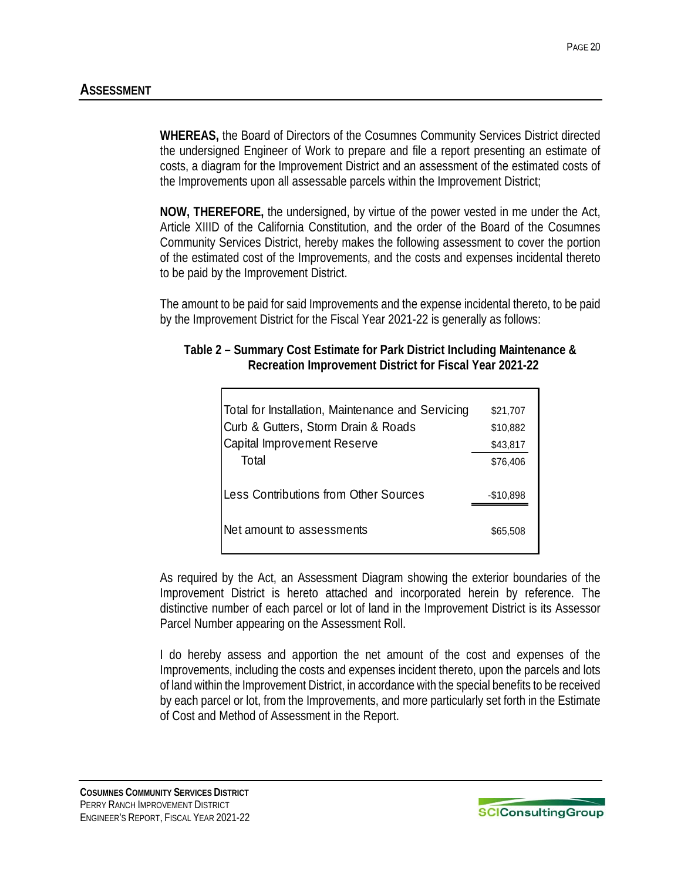**WHEREAS,** the Board of Directors of the Cosumnes Community Services District directed the undersigned Engineer of Work to prepare and file a report presenting an estimate of costs, a diagram for the Improvement District and an assessment of the estimated costs of the Improvements upon all assessable parcels within the Improvement District;

**NOW, THEREFORE,** the undersigned, by virtue of the power vested in me under the Act, Article XIIID of the California Constitution, and the order of the Board of the Cosumnes Community Services District, hereby makes the following assessment to cover the portion of the estimated cost of the Improvements, and the costs and expenses incidental thereto to be paid by the Improvement District.

The amount to be paid for said Improvements and the expense incidental thereto, to be paid by the Improvement District for the Fiscal Year 2021-22 is generally as follows:

| Total for Installation, Maintenance and Servicing<br>Curb & Gutters, Storm Drain & Roads<br>Capital Improvement Reserve<br>Total | \$21,707<br>\$10,882<br>\$43,817<br>\$76,406 |
|----------------------------------------------------------------------------------------------------------------------------------|----------------------------------------------|
| Less Contributions from Other Sources                                                                                            | $-$10,898$                                   |
| Net amount to assessments                                                                                                        | \$65,508                                     |

### **Table 2 – Summary Cost Estimate for Park District Including Maintenance & Recreation Improvement District for Fiscal Year 2021-22**

As required by the Act, an Assessment Diagram showing the exterior boundaries of the Improvement District is hereto attached and incorporated herein by reference. The distinctive number of each parcel or lot of land in the Improvement District is its Assessor Parcel Number appearing on the Assessment Roll.

I do hereby assess and apportion the net amount of the cost and expenses of the Improvements, including the costs and expenses incident thereto, upon the parcels and lots of land within the Improvement District, in accordance with the special benefits to be received by each parcel or lot, from the Improvements, and more particularly set forth in the Estimate of Cost and Method of Assessment in the Report.

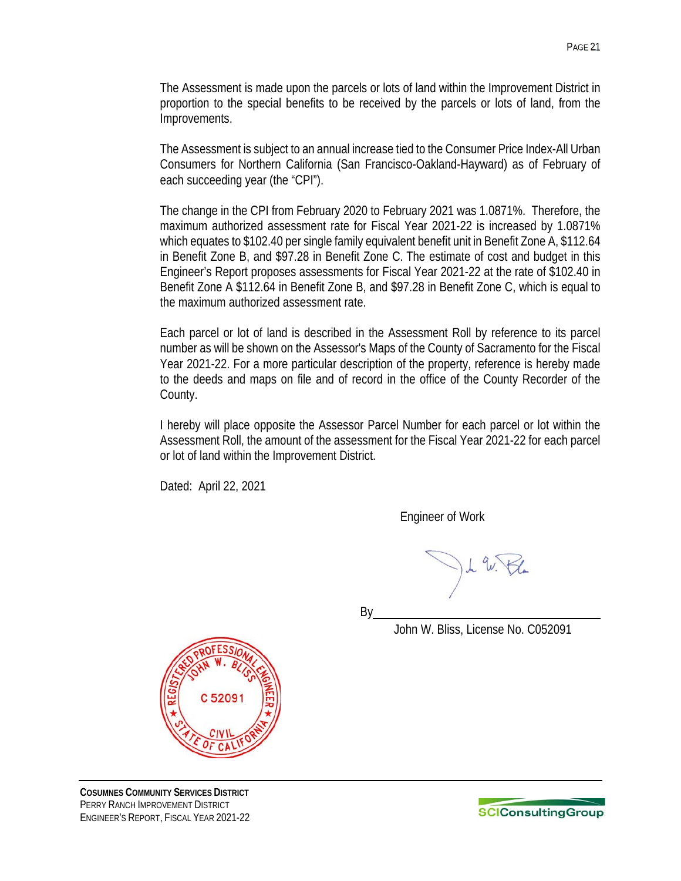The Assessment is made upon the parcels or lots of land within the Improvement District in proportion to the special benefits to be received by the parcels or lots of land, from the Improvements.

The Assessment is subject to an annual increase tied to the Consumer Price Index-All Urban Consumers for Northern California (San Francisco-Oakland-Hayward) as of February of each succeeding year (the "CPI").

The change in the CPI from February 2020 to February 2021 was 1.0871%. Therefore, the maximum authorized assessment rate for Fiscal Year 2021-22 is increased by 1.0871% which equates to \$102.40 per single family equivalent benefit unit in Benefit Zone A, \$112.64 in Benefit Zone B, and \$97.28 in Benefit Zone C. The estimate of cost and budget in this Engineer's Report proposes assessments for Fiscal Year 2021-22 at the rate of \$102.40 in Benefit Zone A \$112.64 in Benefit Zone B, and \$97.28 in Benefit Zone C, which is equal to the maximum authorized assessment rate.

Each parcel or lot of land is described in the Assessment Roll by reference to its parcel number as will be shown on the Assessor's Maps of the County of Sacramento for the Fiscal Year 2021-22. For a more particular description of the property, reference is hereby made to the deeds and maps on file and of record in the office of the County Recorder of the County.

I hereby will place opposite the Assessor Parcel Number for each parcel or lot within the Assessment Roll, the amount of the assessment for the Fiscal Year 2021-22 for each parcel or lot of land within the Improvement District.

Dated: April 22, 2021

Engineer of Work

By

John W. Bliss, License No. C052091



**COSUMNES COMMUNITY SERVICES DISTRICT**  PERRY RANCH IMPROVEMENT DISTRICT ENGINEER'S REPORT, FISCAL YEAR 2021-22

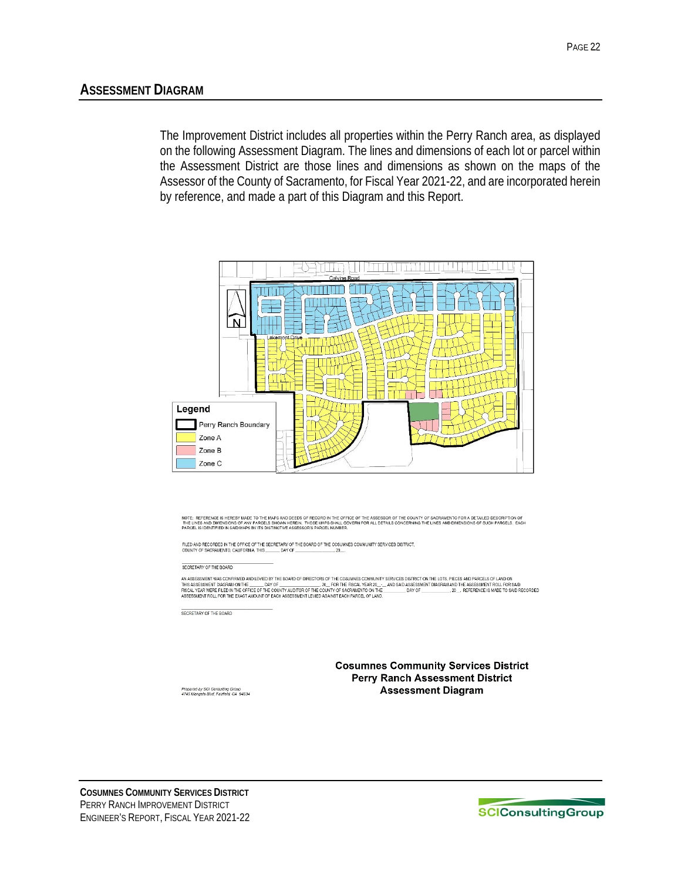#### **ASSESSMENT DIAGRAM**

The Improvement District includes all properties within the Perry Ranch area, as displayed on the following Assessment Diagram. The lines and dimensions of each lot or parcel within the Assessment District are those lines and dimensions as shown on the maps of the Assessor of the County of Sacramento, for Fiscal Year 2021-22, and are incorporated herein by reference, and made a part of this Diagram and this Report.



NOTE: REFERENCE IS HEREBY MADE TO THE MAPS AND DEEDS OF RECORD IN THE OFFICE OF THE ASSESSOR OF THE COUNTY OF SACRAMENTO FOR A DETAILED DESCRIPTION OF<br>THE LINES AND DIMENSIONS OF ANY PARCELS SHOWN HEREIN. THOSE MAPS SHALL

SECRETARY OF THE BOARD

AN ASSESSMENT WAS CONFIRMED AND LEVIED BY THE BOARD OF DIRECTORS OF THE COSUMNES COMMUNITY SERVICES DISTRICT ON THE LOTS, PIECES AND PARCELS OF LAND ON<br>THIS ASSESSMENT DIAGRAM ON THE CONTROLLY THE ROOM TO A 2000 THE PISCAL

SECRETARY OF THE BOARD

**Cosumnes Community Services District** Perry Ranch Assessment District **Assessment Diagram** 

Propared by SCI Consulting Group<br>4745 Mangels Blvd, Fairfield, CA 94534